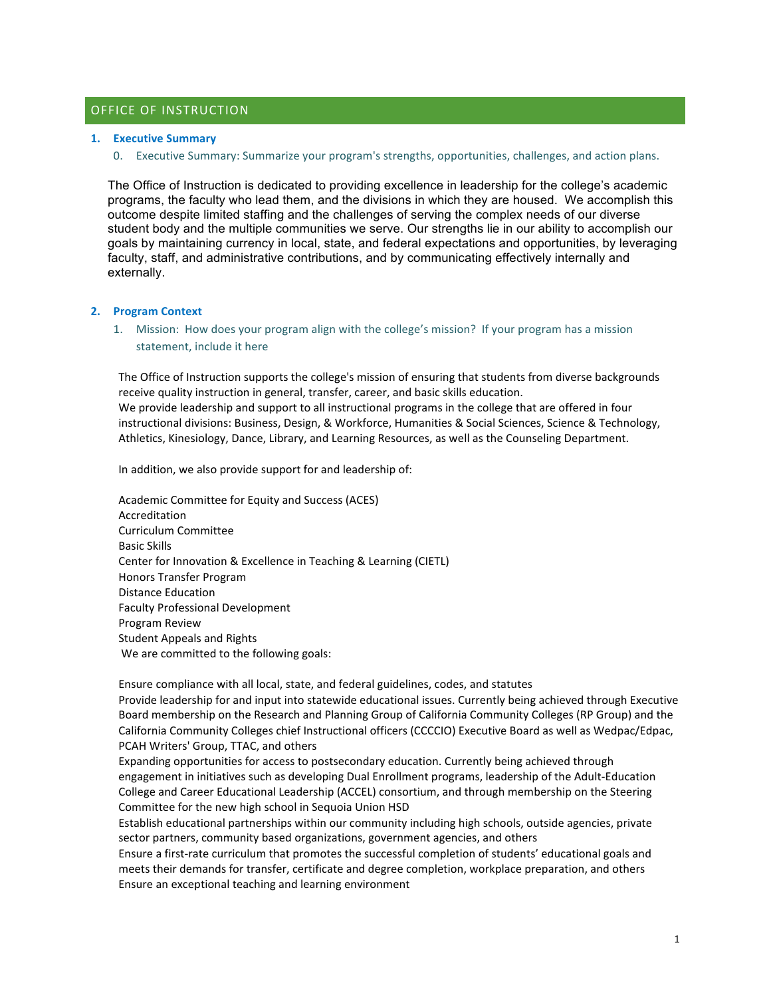## OFFICE OF INSTRUCTION

#### **1. Executive Summary**

0. Executive Summary: Summarize your program's strengths, opportunities, challenges, and action plans.

The Office of Instruction is dedicated to providing excellence in leadership for the college's academic programs, the faculty who lead them, and the divisions in which they are housed. We accomplish this outcome despite limited staffing and the challenges of serving the complex needs of our diverse student body and the multiple communities we serve. Our strengths lie in our ability to accomplish our goals by maintaining currency in local, state, and federal expectations and opportunities, by leveraging faculty, staff, and administrative contributions, and by communicating effectively internally and externally.

#### **2. Program Context**

1. Mission: How does your program align with the college's mission? If your program has a mission statement, include it here

The Office of Instruction supports the college's mission of ensuring that students from diverse backgrounds receive quality instruction in general, transfer, career, and basic skills education. We provide leadership and support to all instructional programs in the college that are offered in four instructional divisions: Business, Design, & Workforce, Humanities & Social Sciences, Science & Technology, Athletics, Kinesiology, Dance, Library, and Learning Resources, as well as the Counseling Department.

In addition, we also provide support for and leadership of:

Academic Committee for Equity and Success (ACES) Accreditation Curriculum Committee Basic Skills Center for Innovation & Excellence in Teaching & Learning (CIETL) Honors Transfer Program Distance Education Faculty Professional Development Program Review Student Appeals and Rights We are committed to the following goals:

Ensure compliance with all local, state, and federal guidelines, codes, and statutes

Provide leadership for and input into statewide educational issues. Currently being achieved through Executive Board membership on the Research and Planning Group of California Community Colleges (RP Group) and the California Community Colleges chief Instructional officers (CCCCIO) Executive Board as well as Wedpac/Edpac, PCAH Writers' Group, TTAC, and others

Expanding opportunities for access to postsecondary education. Currently being achieved through engagement in initiatives such as developing Dual Enrollment programs, leadership of the Adult-Education College and Career Educational Leadership (ACCEL) consortium, and through membership on the Steering Committee for the new high school in Sequoia Union HSD

Establish educational partnerships within our community including high schools, outside agencies, private sector partners, community based organizations, government agencies, and others

Ensure a first-rate curriculum that promotes the successful completion of students' educational goals and meets their demands for transfer, certificate and degree completion, workplace preparation, and others Ensure an exceptional teaching and learning environment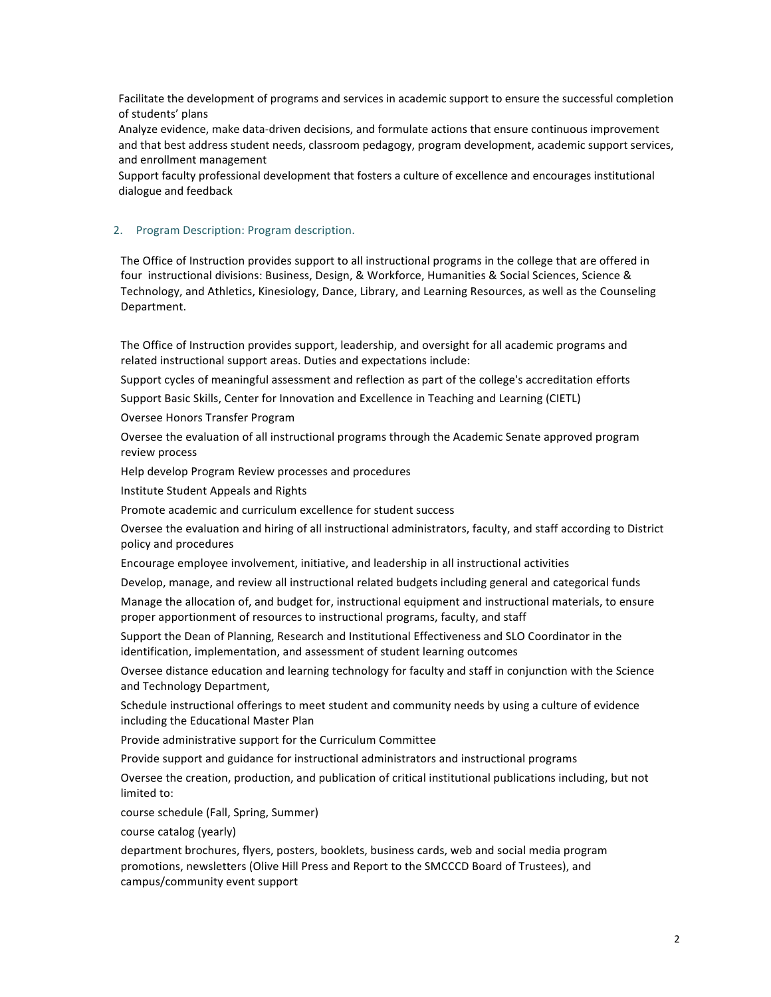Facilitate the development of programs and services in academic support to ensure the successful completion of students' plans

Analyze evidence, make data-driven decisions, and formulate actions that ensure continuous improvement and that best address student needs, classroom pedagogy, program development, academic support services, and enrollment management

Support faculty professional development that fosters a culture of excellence and encourages institutional dialogue and feedback

#### 2. Program Description: Program description.

The Office of Instruction provides support to all instructional programs in the college that are offered in four instructional divisions: Business, Design, & Workforce, Humanities & Social Sciences, Science & Technology, and Athletics, Kinesiology, Dance, Library, and Learning Resources, as well as the Counseling Department. 

The Office of Instruction provides support, leadership, and oversight for all academic programs and related instructional support areas. Duties and expectations include:

Support cycles of meaningful assessment and reflection as part of the college's accreditation efforts

Support Basic Skills, Center for Innovation and Excellence in Teaching and Learning (CIETL)

Oversee Honors Transfer Program

Oversee the evaluation of all instructional programs through the Academic Senate approved program review process

Help develop Program Review processes and procedures

Institute Student Appeals and Rights

Promote academic and curriculum excellence for student success

Oversee the evaluation and hiring of all instructional administrators, faculty, and staff according to District policy and procedures

Encourage employee involvement, initiative, and leadership in all instructional activities

Develop, manage, and review all instructional related budgets including general and categorical funds

Manage the allocation of, and budget for, instructional equipment and instructional materials, to ensure proper apportionment of resources to instructional programs, faculty, and staff

Support the Dean of Planning, Research and Institutional Effectiveness and SLO Coordinator in the identification, implementation, and assessment of student learning outcomes

Oversee distance education and learning technology for faculty and staff in conjunction with the Science and Technology Department,

Schedule instructional offerings to meet student and community needs by using a culture of evidence including the Educational Master Plan

Provide administrative support for the Curriculum Committee

Provide support and guidance for instructional administrators and instructional programs

Oversee the creation, production, and publication of critical institutional publications including, but not limited to:

course schedule (Fall, Spring, Summer)

course catalog (yearly)

department brochures, flyers, posters, booklets, business cards, web and social media program promotions, newsletters (Olive Hill Press and Report to the SMCCCD Board of Trustees), and campus/community event support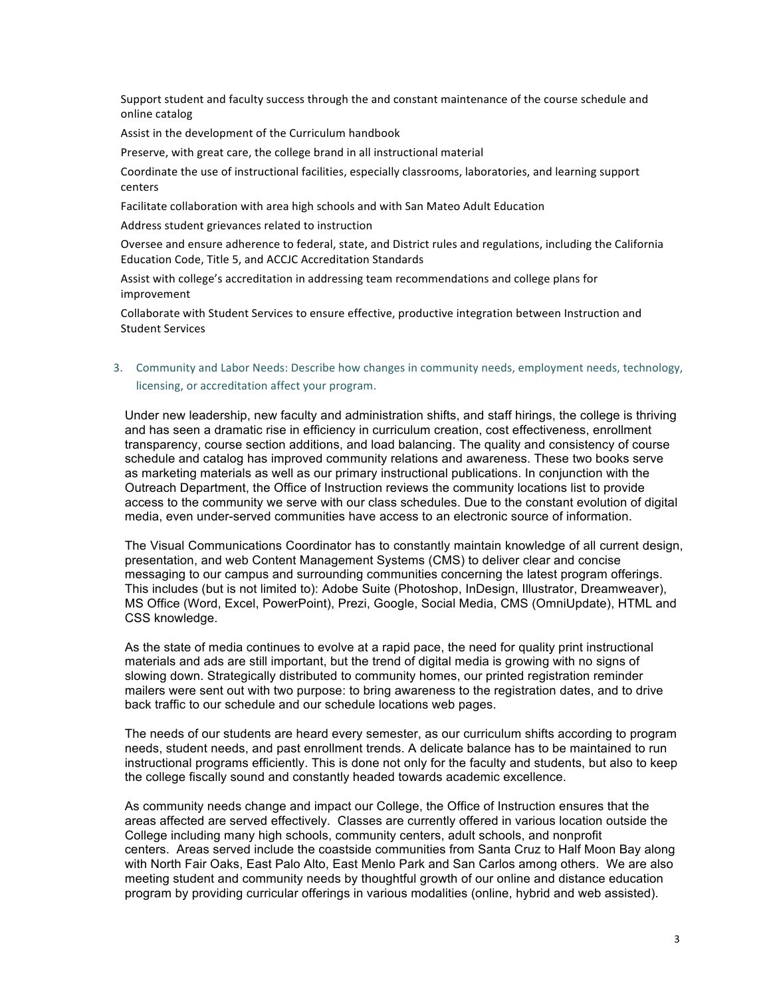Support student and faculty success through the and constant maintenance of the course schedule and online catalog

Assist in the development of the Curriculum handbook

Preserve, with great care, the college brand in all instructional material

Coordinate the use of instructional facilities, especially classrooms, laboratories, and learning support centers

Facilitate collaboration with area high schools and with San Mateo Adult Education

Address student grievances related to instruction

Oversee and ensure adherence to federal, state, and District rules and regulations, including the California Education Code, Title 5, and ACCJC Accreditation Standards

Assist with college's accreditation in addressing team recommendations and college plans for improvement

Collaborate with Student Services to ensure effective, productive integration between Instruction and Student Services

# 3. Community and Labor Needs: Describe how changes in community needs, employment needs, technology, licensing, or accreditation affect your program.

Under new leadership, new faculty and administration shifts, and staff hirings, the college is thriving and has seen a dramatic rise in efficiency in curriculum creation, cost effectiveness, enrollment transparency, course section additions, and load balancing. The quality and consistency of course schedule and catalog has improved community relations and awareness. These two books serve as marketing materials as well as our primary instructional publications. In conjunction with the Outreach Department, the Office of Instruction reviews the community locations list to provide access to the community we serve with our class schedules. Due to the constant evolution of digital media, even under-served communities have access to an electronic source of information.

The Visual Communications Coordinator has to constantly maintain knowledge of all current design, presentation, and web Content Management Systems (CMS) to deliver clear and concise messaging to our campus and surrounding communities concerning the latest program offerings. This includes (but is not limited to): Adobe Suite (Photoshop, InDesign, Illustrator, Dreamweaver), MS Office (Word, Excel, PowerPoint), Prezi, Google, Social Media, CMS (OmniUpdate), HTML and CSS knowledge.

As the state of media continues to evolve at a rapid pace, the need for quality print instructional materials and ads are still important, but the trend of digital media is growing with no signs of slowing down. Strategically distributed to community homes, our printed registration reminder mailers were sent out with two purpose: to bring awareness to the registration dates, and to drive back traffic to our schedule and our schedule locations web pages.

The needs of our students are heard every semester, as our curriculum shifts according to program needs, student needs, and past enrollment trends. A delicate balance has to be maintained to run instructional programs efficiently. This is done not only for the faculty and students, but also to keep the college fiscally sound and constantly headed towards academic excellence.

As community needs change and impact our College, the Office of Instruction ensures that the areas affected are served effectively. Classes are currently offered in various location outside the College including many high schools, community centers, adult schools, and nonprofit centers. Areas served include the coastside communities from Santa Cruz to Half Moon Bay along with North Fair Oaks, East Palo Alto, East Menlo Park and San Carlos among others. We are also meeting student and community needs by thoughtful growth of our online and distance education program by providing curricular offerings in various modalities (online, hybrid and web assisted).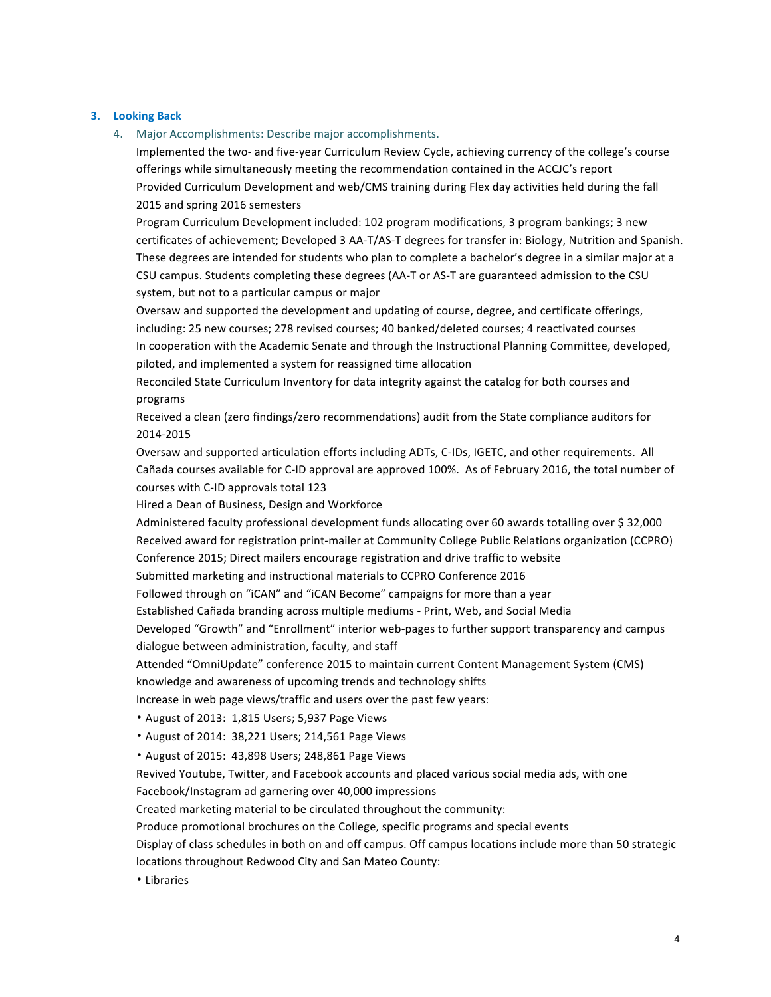#### **3. Looking Back**

4. Major Accomplishments: Describe major accomplishments.

Implemented the two- and five-year Curriculum Review Cycle, achieving currency of the college's course offerings while simultaneously meeting the recommendation contained in the ACCJC's report Provided Curriculum Development and web/CMS training during Flex day activities held during the fall 2015 and spring 2016 semesters

Program Curriculum Development included: 102 program modifications, 3 program bankings; 3 new certificates of achievement; Developed 3 AA-T/AS-T degrees for transfer in: Biology, Nutrition and Spanish. These degrees are intended for students who plan to complete a bachelor's degree in a similar major at a CSU campus. Students completing these degrees (AA-T or AS-T are guaranteed admission to the CSU system, but not to a particular campus or major

Oversaw and supported the development and updating of course, degree, and certificate offerings, including: 25 new courses; 278 revised courses; 40 banked/deleted courses; 4 reactivated courses In cooperation with the Academic Senate and through the Instructional Planning Committee, developed, piloted, and implemented a system for reassigned time allocation

Reconciled State Curriculum Inventory for data integrity against the catalog for both courses and programs

Received a clean (zero findings/zero recommendations) audit from the State compliance auditors for 2014-2015

Oversaw and supported articulation efforts including ADTs, C-IDs, IGETC, and other requirements. All Cañada courses available for C-ID approval are approved 100%. As of February 2016, the total number of courses with C-ID approvals total 123

Hired a Dean of Business, Design and Workforce

Administered faculty professional development funds allocating over 60 awards totalling over \$ 32,000 Received award for registration print-mailer at Community College Public Relations organization (CCPRO) Conference 2015; Direct mailers encourage registration and drive traffic to website

Submitted marketing and instructional materials to CCPRO Conference 2016

Followed through on "iCAN" and "iCAN Become" campaigns for more than a year

Established Cañada branding across multiple mediums - Print, Web, and Social Media

Developed "Growth" and "Enrollment" interior web-pages to further support transparency and campus dialogue between administration, faculty, and staff

Attended "OmniUpdate" conference 2015 to maintain current Content Management System (CMS) knowledge and awareness of upcoming trends and technology shifts

Increase in web page views/traffic and users over the past few years:

- August of 2013: 1,815 Users; 5,937 Page Views
- August of 2014: 38,221 Users; 214,561 Page Views
- August of 2015: 43,898 Users; 248,861 Page Views

Revived Youtube, Twitter, and Facebook accounts and placed various social media ads, with one Facebook/Instagram ad garnering over 40,000 impressions

Created marketing material to be circulated throughout the community:

Produce promotional brochures on the College, specific programs and special events

Display of class schedules in both on and off campus. Off campus locations include more than 50 strategic locations throughout Redwood City and San Mateo County:

• Libraries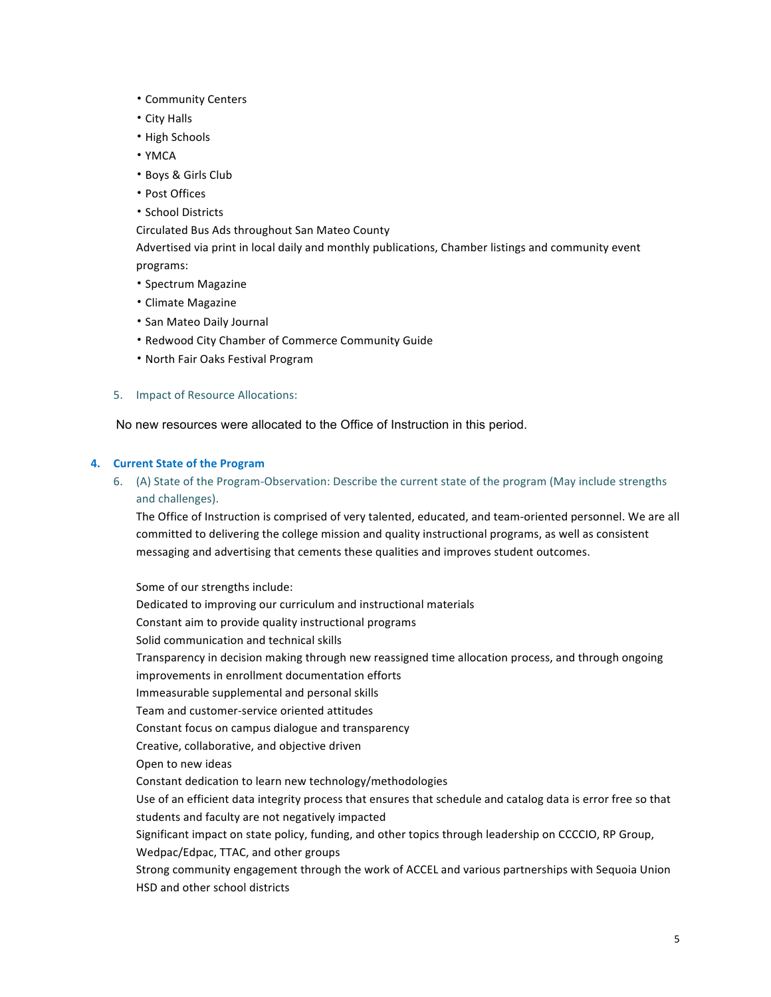- Community Centers
- City Halls
- High Schools
- YMCA
- Boys & Girls Club
- Post Offices
- School Districts

Circulated Bus Ads throughout San Mateo County

Advertised via print in local daily and monthly publications, Chamber listings and community event programs:

- Spectrum Magazine
- Climate Magazine
- San Mateo Daily Journal
- Redwood City Chamber of Commerce Community Guide
- North Fair Oaks Festival Program
- 5. Impact of Resource Allocations:

No new resources were allocated to the Office of Instruction in this period.

## **4. Current State of the Program**

6. (A) State of the Program-Observation: Describe the current state of the program (May include strengths and challenges).

The Office of Instruction is comprised of very talented, educated, and team-oriented personnel. We are all committed to delivering the college mission and quality instructional programs, as well as consistent messaging and advertising that cements these qualities and improves student outcomes.

Some of our strengths include:

Dedicated to improving our curriculum and instructional materials

Constant aim to provide quality instructional programs

Solid communication and technical skills

Transparency in decision making through new reassigned time allocation process, and through ongoing

improvements in enrollment documentation efforts

Immeasurable supplemental and personal skills

Team and customer-service oriented attitudes

Constant focus on campus dialogue and transparency

Creative, collaborative, and objective driven

Open to new ideas

Constant dedication to learn new technology/methodologies

Use of an efficient data integrity process that ensures that schedule and catalog data is error free so that students and faculty are not negatively impacted

Significant impact on state policy, funding, and other topics through leadership on CCCCIO, RP Group,

Wedpac/Edpac, TTAC, and other groups

Strong community engagement through the work of ACCEL and various partnerships with Sequoia Union HSD and other school districts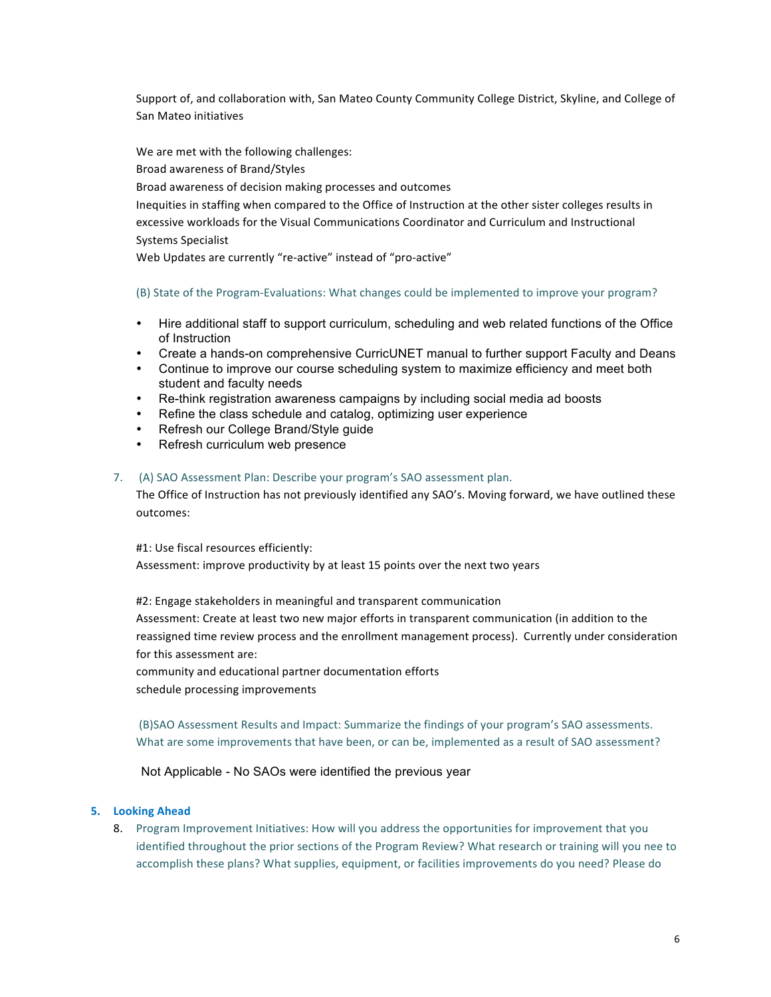Support of, and collaboration with, San Mateo County Community College District, Skyline, and College of San Mateo initiatives

We are met with the following challenges:

Broad awareness of Brand/Styles

Broad awareness of decision making processes and outcomes

Inequities in staffing when compared to the Office of Instruction at the other sister colleges results in excessive workloads for the Visual Communications Coordinator and Curriculum and Instructional Systems Specialist

Web Updates are currently "re-active" instead of "pro-active"

## (B) State of the Program-Evaluations: What changes could be implemented to improve your program?

- Hire additional staff to support curriculum, scheduling and web related functions of the Office of Instruction
- Create a hands-on comprehensive CurricUNET manual to further support Faculty and Deans
- Continue to improve our course scheduling system to maximize efficiency and meet both student and faculty needs
- Re-think registration awareness campaigns by including social media ad boosts
- Refine the class schedule and catalog, optimizing user experience
- Refresh our College Brand/Style guide
- Refresh curriculum web presence

## 7. (A) SAO Assessment Plan: Describe your program's SAO assessment plan.

The Office of Instruction has not previously identified any SAO's. Moving forward, we have outlined these outcomes:

#1: Use fiscal resources efficiently:

Assessment: improve productivity by at least 15 points over the next two years

#2: Engage stakeholders in meaningful and transparent communication

Assessment: Create at least two new major efforts in transparent communication (in addition to the reassigned time review process and the enrollment management process). Currently under consideration for this assessment are:

community and educational partner documentation efforts schedule processing improvements

(B)SAO Assessment Results and Impact: Summarize the findings of your program's SAO assessments. What are some improvements that have been, or can be, implemented as a result of SAO assessment?

Not Applicable - No SAOs were identified the previous year

## **5. Looking Ahead**

8. Program Improvement Initiatives: How will you address the opportunities for improvement that you identified throughout the prior sections of the Program Review? What research or training will you nee to accomplish these plans? What supplies, equipment, or facilities improvements do you need? Please do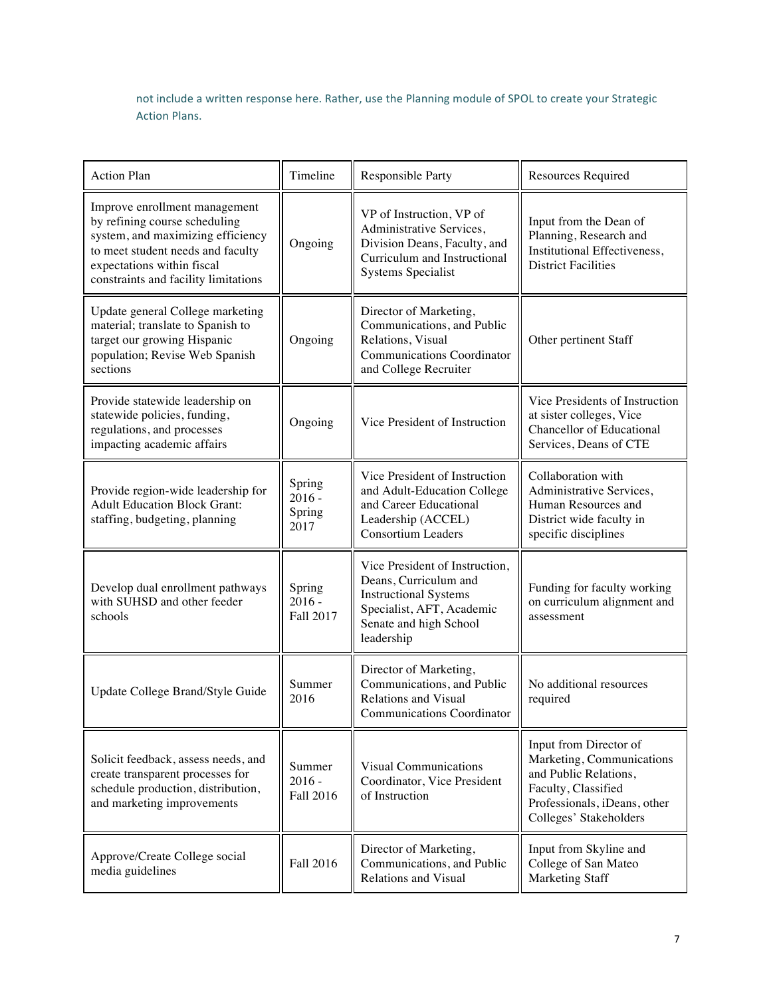not include a written response here. Rather, use the Planning module of SPOL to create your Strategic Action Plans.

| <b>Action Plan</b>                                                                                                                                                                                             | Timeline                             | <b>Responsible Party</b>                                                                                                                                     | <b>Resources Required</b>                                                                                                                                     |
|----------------------------------------------------------------------------------------------------------------------------------------------------------------------------------------------------------------|--------------------------------------|--------------------------------------------------------------------------------------------------------------------------------------------------------------|---------------------------------------------------------------------------------------------------------------------------------------------------------------|
| Improve enrollment management<br>by refining course scheduling<br>system, and maximizing efficiency<br>to meet student needs and faculty<br>expectations within fiscal<br>constraints and facility limitations | Ongoing                              | VP of Instruction, VP of<br>Administrative Services,<br>Division Deans, Faculty, and<br>Curriculum and Instructional<br><b>Systems Specialist</b>            | Input from the Dean of<br>Planning, Research and<br>Institutional Effectiveness,<br><b>District Facilities</b>                                                |
| Update general College marketing<br>material; translate to Spanish to<br>target our growing Hispanic<br>population; Revise Web Spanish<br>sections                                                             | Ongoing                              | Director of Marketing,<br>Communications, and Public<br>Relations, Visual<br><b>Communications Coordinator</b><br>and College Recruiter                      | Other pertinent Staff                                                                                                                                         |
| Provide statewide leadership on<br>statewide policies, funding,<br>regulations, and processes<br>impacting academic affairs                                                                                    | Ongoing                              | Vice President of Instruction                                                                                                                                | Vice Presidents of Instruction<br>at sister colleges, Vice<br><b>Chancellor of Educational</b><br>Services, Deans of CTE                                      |
| Provide region-wide leadership for<br><b>Adult Education Block Grant:</b><br>staffing, budgeting, planning                                                                                                     | Spring<br>$2016 -$<br>Spring<br>2017 | Vice President of Instruction<br>and Adult-Education College<br>and Career Educational<br>Leadership (ACCEL)<br><b>Consortium Leaders</b>                    | Collaboration with<br>Administrative Services,<br>Human Resources and<br>District wide faculty in<br>specific disciplines                                     |
| Develop dual enrollment pathways<br>with SUHSD and other feeder<br>schools                                                                                                                                     | Spring<br>$2016 -$<br>Fall 2017      | Vice President of Instruction,<br>Deans, Curriculum and<br><b>Instructional Systems</b><br>Specialist, AFT, Academic<br>Senate and high School<br>leadership | Funding for faculty working<br>on curriculum alignment and<br>assessment                                                                                      |
| Update College Brand/Style Guide                                                                                                                                                                               | Summer<br>2016                       | Director of Marketing,<br>Communications, and Public<br><b>Relations and Visual</b><br><b>Communications Coordinator</b>                                     | No additional resources<br>required                                                                                                                           |
| Solicit feedback, assess needs, and<br>create transparent processes for<br>schedule production, distribution,<br>and marketing improvements                                                                    | Summer<br>$2016 -$<br>Fall 2016      | <b>Visual Communications</b><br>Coordinator, Vice President<br>of Instruction                                                                                | Input from Director of<br>Marketing, Communications<br>and Public Relations,<br>Faculty, Classified<br>Professionals, iDeans, other<br>Colleges' Stakeholders |
| Approve/Create College social<br>media guidelines                                                                                                                                                              | Fall 2016                            | Director of Marketing,<br>Communications, and Public<br><b>Relations and Visual</b>                                                                          | Input from Skyline and<br>College of San Mateo<br><b>Marketing Staff</b>                                                                                      |